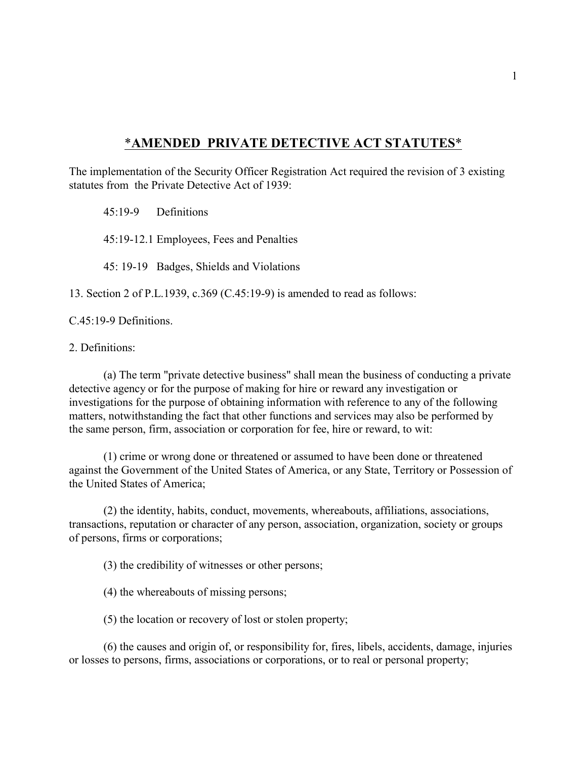## \***AMENDED PRIVATE DETECTIVE ACT STATUTES**\*

The implementation of the Security Officer Registration Act required the revision of 3 existing statutes from the Private Detective Act of 1939:

45:19-9 Definitions

45:19-12.1 Employees, Fees and Penalties

45: 19-19 Badges, Shields and Violations

13. Section 2 of P.L.1939, c.369 (C.45:19-9) is amended to read as follows:

C.45:19-9 Definitions.

2. Definitions:

(a) The term "private detective business" shall mean the business of conducting a private detective agency or for the purpose of making for hire or reward any investigation or investigations for the purpose of obtaining information with reference to any of the following matters, notwithstanding the fact that other functions and services may also be performed by the same person, firm, association or corporation for fee, hire or reward, to wit:

(1) crime or wrong done or threatened or assumed to have been done or threatened against the Government of the United States of America, or any State, Territory or Possession of the United States of America;

(2) the identity, habits, conduct, movements, whereabouts, affiliations, associations, transactions, reputation or character of any person, association, organization, society or groups of persons, firms or corporations;

(3) the credibility of witnesses or other persons;

(4) the whereabouts of missing persons;

(5) the location or recovery of lost or stolen property;

(6) the causes and origin of, or responsibility for, fires, libels, accidents, damage, injuries or losses to persons, firms, associations or corporations, or to real or personal property;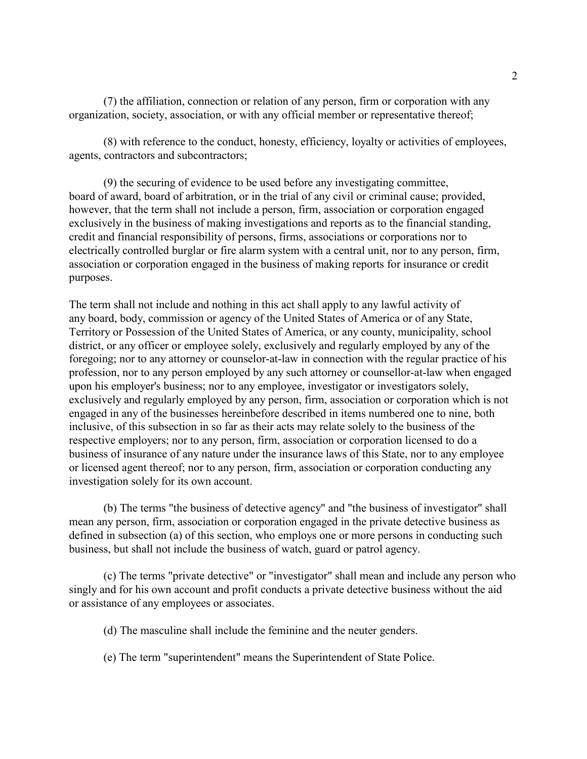(7) the affiliation, connection or relation of any person, firm or corporation with any organization, society, association, or with any official member or representative thereof;

(8) with reference to the conduct, honesty, efficiency, loyalty or activities of employees, agents, contractors and subcontractors;

(9) the securing of evidence to be used before any investigating committee, board of award, board of arbitration, or in the trial of any civil or criminal cause; provided, however, that the term shall not include a person, firm, association or corporation engaged exclusively in the business of making investigations and reports as to the financial standing, credit and financial responsibility of persons, firms, associations or corporations nor to electrically controlled burglar or fire alarm system with a central unit, nor to any person, firm, association or corporation engaged in the business of making reports for insurance or credit purposes.

The term shall not include and nothing in this act shall apply to any lawful activity of any board, body, commission or agency of the United States of America or of any State, Territory or Possession of the United States of America, or any county, municipality, school district, or any officer or employee solely, exclusively and regularly employed by any of the foregoing; nor to any attorney or counselor-at-law in connection with the regular practice of his profession, nor to any person employed by any such attorney or counsellor-at-law when engaged upon his employer's business; nor to any employee, investigator or investigators solely, exclusively and regularly employed by any person, firm, association or corporation which is not engaged in any of the businesses hereinbefore described in items numbered one to nine, both inclusive, of this subsection in so far as their acts may relate solely to the business of the respective employers; nor to any person, firm, association or corporation licensed to do a business of insurance of any nature under the insurance laws of this State, nor to any employee or licensed agent thereof; nor to any person, firm, association or corporation conducting any investigation solely for its own account.

(b) The terms "the business of detective agency" and "the business of investigator" shall mean any person, firm, association or corporation engaged in the private detective business as defined in subsection (a) of this section, who employs one or more persons in conducting such business, but shall not include the business of watch, guard or patrol agency.

(c) The terms "private detective" or "investigator" shall mean and include any person who singly and for his own account and profit conducts a private detective business without the aid or assistance of any employees or associates.

(d) The masculine shall include the feminine and the neuter genders.

(e) The term "superintendent" means the Superintendent of State Police.